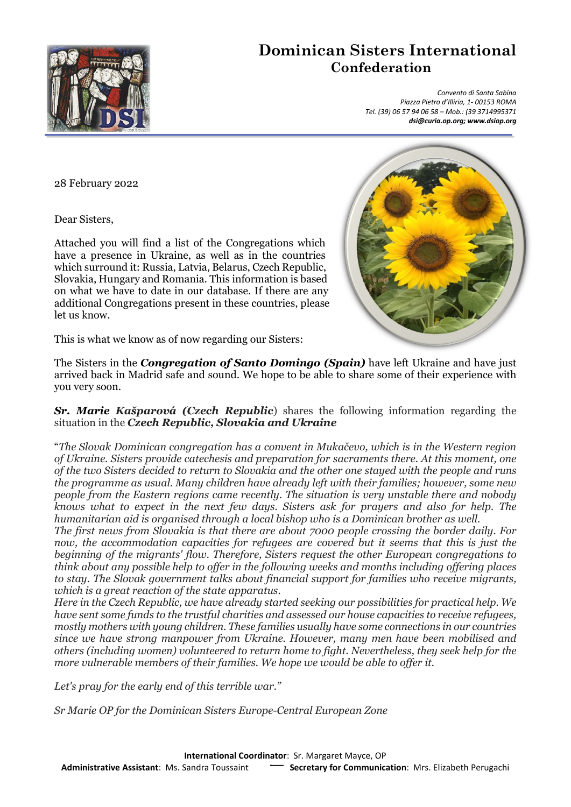

## **Dominican Sisters International Confederation**

 *Convento di Santa Sabina Piazza Pietro d'Illiria, 1- 00153 ROMA Tel. (39) 06 57 94 06 58 – Mob.: (39 3714995371 dsi@curia.op.org; www.dsiop.org*

28 February 2022

Dear Sisters,

Attached you will find a list of the Congregations which have a presence in Ukraine, as well as in the countries which surround it: Russia, Latvia, Belarus, Czech Republic, Slovakia, Hungary and Romania. This information is based on what we have to date in our database. If there are any additional Congregations present in these countries, please let us know.

This is what we know as of now regarding our Sisters:

The Sisters in the *Congregation of Santo Domingo (Spain)* have left Ukraine and have just arrived back in Madrid safe and sound. We hope to be able to share some of their experience with you very soon.

*Sr. Marie Kašparová (Czech Republic*) shares the following information regarding the situation in the *Czech Republic, Slovakia and Ukraine*

"*The Slovak Dominican congregation has a convent in Mukačevo, which is in the Western region of Ukraine. Sisters provide catechesis and preparation for sacraments there. At this moment, one of the two Sisters decided to return to Slovakia and the other one stayed with the people and runs the programme as usual. Many children have already left with their families; however, some new people from the Eastern regions came recently. The situation is very unstable there and nobody knows what to expect in the next few days. Sisters ask for prayers and also for help. The humanitarian aid is organised through a local bishop who is a Dominican brother as well.*

*The first news from Slovakia is that there are about 7000 people crossing the border daily. For now, the accommodation capacities for refugees are covered but it seems that this is just the beginning of the migrants' flow. Therefore, Sisters request the other European congregations to think about any possible help to offer in the following weeks and months including offering places to stay. The Slovak government talks about financial support for families who receive migrants, which is a great reaction of the state apparatus.*

*Here in the Czech Republic, we have already started seeking our possibilities for practical help. We have sent some funds to the trustful charities and assessed our house capacities to receive refugees, mostly mothers with young children. These families usually have some connections in our countries since we have strong manpower from Ukraine. However, many men have been mobilised and others (including women) volunteered to return home to fight. Nevertheless, they seek help for the more vulnerable members of their families. We hope we would be able to offer it.*

*Let's pray for the early end of this terrible war."*

*Sr Marie OP for the Dominican Sisters Europe-Central European Zone*